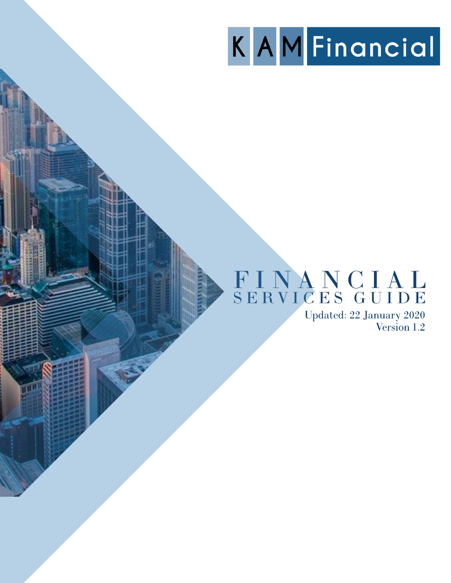# KAMFinancial

# FINANCIAL<br>SERVICES GUIDE

Updated: 22 January 2020<br>Version 1.2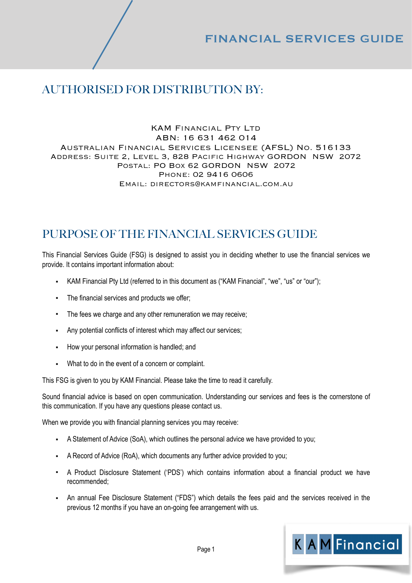# AUTHORISED FOR DISTRIBUTION BY:

#### KAM Financial Pty Ltd ABN: 16 631 462 014 Australian Financial Services Licensee (AFSL) No. 516133 Address: Suite 2, Level 3, 828 Pacific Highway GORDON NSW 2072 Postal: PO Box 62 GORDON NSW 2072 Phone: 02 9416 0606 Email: directors@kamfinancial.com.au

# PURPOSE OF THE FINANCIAL SERVICES GUIDE

This Financial Services Guide (FSG) is designed to assist you in deciding whether to use the financial services we provide. It contains important information about:

- KAM Financial Pty Ltd (referred to in this document as ("KAM Financial", "we", "us" or "our");
- The financial services and products we offer;
- The fees we charge and any other remuneration we may receive;
- Any potential conflicts of interest which may affect our services:
- How your personal information is handled; and
- What to do in the event of a concern or complaint.

This FSG is given to you by KAM Financial. Please take the time to read it carefully.

Sound financial advice is based on open communication. Understanding our services and fees is the cornerstone of this communication. If you have any questions please contact us.

When we provide you with financial planning services you may receive:

- A Statement of Advice (SoA), which outlines the personal advice we have provided to you;
- A Record of Advice (RoA), which documents any further advice provided to you;
- A Product Disclosure Statement ('PDS') which contains information about a financial product we have recommended;
- An annual Fee Disclosure Statement ("FDS") which details the fees paid and the services received in the previous 12 months if you have an on-going fee arrangement with us.

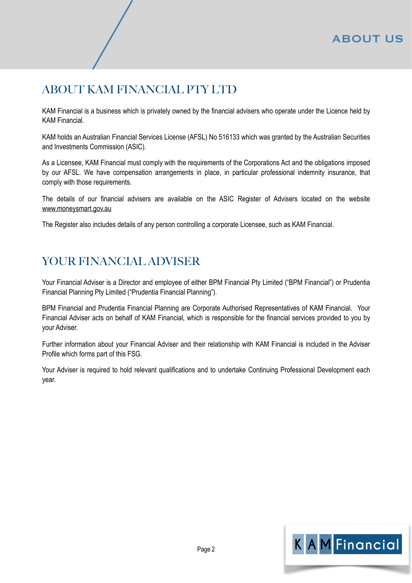# ABOUT KAM FINANCIAL PTY LTD

KAM Financial is a business which is privately owned by the financial advisers who operate under the Licence held by KAM Financial.

KAM holds an Australian Financial Services License (AFSL) No 516133 which was granted by the Australian Securities and Investments Commission (ASIC).

As a Licensee, KAM Financial must comply with the requirements of the Corporations Act and the obligations imposed by our AFSL. We have compensation arrangements in place, in particular professional indemnity insurance, that comply with those requirements.

The details of our financial advisers are available on the ASIC Register of Advisers located on the website [www.moneysmart.gov.au](http://www.moneysmart.gov.au)

The Register also includes details of any person controlling a corporate Licensee, such as KAM Financial.

# YOUR FINANCIAL ADVISER

Your Financial Adviser is a Director and employee of either BPM Financial Pty Limited ("BPM Financial") or Prudentia Financial Planning Pty Limited ("Prudentia Financial Planning").

BPM Financial and Prudentia Financial Planning are Corporate Authorised Representatives of KAM Financial. Your Financial Adviser acts on behalf of KAM Financial, which is responsible for the financial services provided to you by your Adviser.

Further information about your Financial Adviser and their relationship with KAM Financial is included in the Adviser Profile which forms part of this FSG.

Your Adviser is required to hold relevant qualifications and to undertake Continuing Professional Development each year.

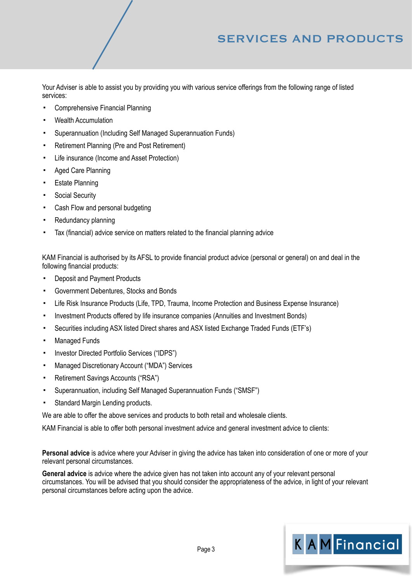# SERVICES AND PRODUCTS

Your Adviser is able to assist you by providing you with various service offerings from the following range of listed services:

- Comprehensive Financial Planning
- **Wealth Accumulation**
- Superannuation (Including Self Managed Superannuation Funds)
- Retirement Planning (Pre and Post Retirement)
- Life insurance (Income and Asset Protection)
- **Aged Care Planning**
- **Estate Planning**
- **Social Security**
- Cash Flow and personal budgeting
- **Redundancy planning**
- Tax (financial) advice service on matters related to the financial planning advice

KAM Financial is authorised by its AFSL to provide financial product advice (personal or general) on and deal in the following financial products:

- Deposit and Payment Products
- Government Debentures, Stocks and Bonds
- Life Risk Insurance Products (Life, TPD, Trauma, Income Protection and Business Expense Insurance)
- Investment Products offered by life insurance companies (Annuities and Investment Bonds)
- Securities including ASX listed Direct shares and ASX listed Exchange Traded Funds (ETF's)
- **Managed Funds**
- Investor Directed Portfolio Services ("IDPS")
- Managed Discretionary Account ("MDA") Services
- Retirement Savings Accounts ("RSA")
- Superannuation, including Self Managed Superannuation Funds ("SMSF")
- Standard Margin Lending products.

We are able to offer the above services and products to both retail and wholesale clients.

KAM Financial is able to offer both personal investment advice and general investment advice to clients:

**Personal advice** is advice where your Adviser in giving the advice has taken into consideration of one or more of your relevant personal circumstances.

**General advice** is advice where the advice given has not taken into account any of your relevant personal circumstances. You will be advised that you should consider the appropriateness of the advice, in light of your relevant personal circumstances before acting upon the advice.

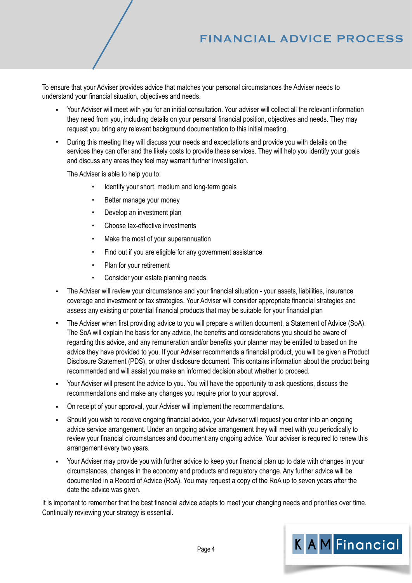# FINANCIAL ADVICE PROCESS

To ensure that your Adviser provides advice that matches your personal circumstances the Adviser needs to understand your financial situation, objectives and needs.

- Your Adviser will meet with you for an initial consultation. Your adviser will collect all the relevant information they need from you, including details on your personal financial position, objectives and needs. They may request you bring any relevant background documentation to this initial meeting.
- During this meeting they will discuss your needs and expectations and provide you with details on the services they can offer and the likely costs to provide these services. They will help you identify your goals and discuss any areas they feel may warrant further investigation.

The Adviser is able to help you to:

- Identify your short, medium and long-term goals
- Better manage your money
- Develop an investment plan
- Choose tax-effective investments
- Make the most of your superannuation
- Find out if you are eligible for any government assistance
- Plan for your retirement
- Consider your estate planning needs.
- The Adviser will review your circumstance and your financial situation your assets, liabilities, insurance coverage and investment or tax strategies. Your Adviser will consider appropriate financial strategies and assess any existing or potential financial products that may be suitable for your financial plan
- The Adviser when first providing advice to you will prepare a written document, a Statement of Advice (SoA). The SoA will explain the basis for any advice, the benefits and considerations you should be aware of regarding this advice, and any remuneration and/or benefits your planner may be entitled to based on the advice they have provided to you. If your Adviser recommends a financial product, you will be given a Product Disclosure Statement (PDS), or other disclosure document. This contains information about the product being recommended and will assist you make an informed decision about whether to proceed.
- Your Adviser will present the advice to you. You will have the opportunity to ask questions, discuss the recommendations and make any changes you require prior to your approval.
- On receipt of your approval, your Adviser will implement the recommendations.
- Should you wish to receive ongoing financial advice, your Adviser will request you enter into an ongoing advice service arrangement. Under an ongoing advice arrangement they will meet with you periodically to review your financial circumstances and document any ongoing advice. Your adviser is required to renew this arrangement every two years.
- Your Adviser may provide you with further advice to keep your financial plan up to date with changes in your circumstances, changes in the economy and products and regulatory change. Any further advice will be documented in a Record of Advice (RoA). You may request a copy of the RoA up to seven years after the date the advice was given.

It is important to remember that the best financial advice adapts to meet your changing needs and priorities over time. Continually reviewing your strategy is essential.

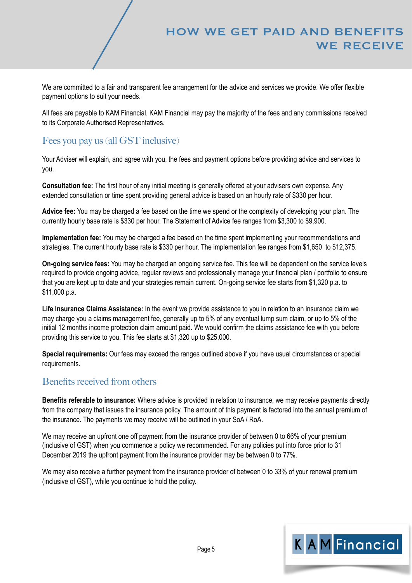## HOW WE GET PAID AND BENEFITS WE RECEIVE

We are committed to a fair and transparent fee arrangement for the advice and services we provide. We offer flexible payment options to suit your needs.

All fees are payable to KAM Financial. KAM Financial may pay the majority of the fees and any commissions received to its Corporate Authorised Representatives.

## Fees you pay us (all GST inclusive)

Your Adviser will explain, and agree with you, the fees and payment options before providing advice and services to you.

**Consultation fee:** The first hour of any initial meeting is generally offered at your advisers own expense. Any extended consultation or time spent providing general advice is based on an hourly rate of \$330 per hour.

**Advice fee:** You may be charged a fee based on the time we spend or the complexity of developing your plan. The currently hourly base rate is \$330 per hour. The Statement of Advice fee ranges from \$3,300 to \$9,900.

**Implementation fee:** You may be charged a fee based on the time spent implementing your recommendations and strategies. The current hourly base rate is \$330 per hour. The implementation fee ranges from \$1,650 to \$12,375.

**On-going service fees:** You may be charged an ongoing service fee. This fee will be dependent on the service levels required to provide ongoing advice, regular reviews and professionally manage your financial plan / portfolio to ensure that you are kept up to date and your strategies remain current. On-going service fee starts from \$1,320 p.a. to \$11,000 p.a.

**Life Insurance Claims Assistance:** In the event we provide assistance to you in relation to an insurance claim we may charge you a claims management fee, generally up to 5% of any eventual lump sum claim, or up to 5% of the initial 12 months income protection claim amount paid. We would confirm the claims assistance fee with you before providing this service to you. This fee starts at \$1,320 up to \$25,000.

**Special requirements:** Our fees may exceed the ranges outlined above if you have usual circumstances or special requirements.

## Benefits received from others

**Benefits referable to insurance:** Where advice is provided in relation to insurance, we may receive payments directly from the company that issues the insurance policy. The amount of this payment is factored into the annual premium of the insurance. The payments we may receive will be outlined in your SoA / RoA.

We may receive an upfront one off payment from the insurance provider of between 0 to 66% of your premium (inclusive of GST) when you commence a policy we recommended. For any policies put into force prior to 31 December 2019 the upfront payment from the insurance provider may be between 0 to 77%.

We may also receive a further payment from the insurance provider of between 0 to 33% of your renewal premium (inclusive of GST), while you continue to hold the policy.

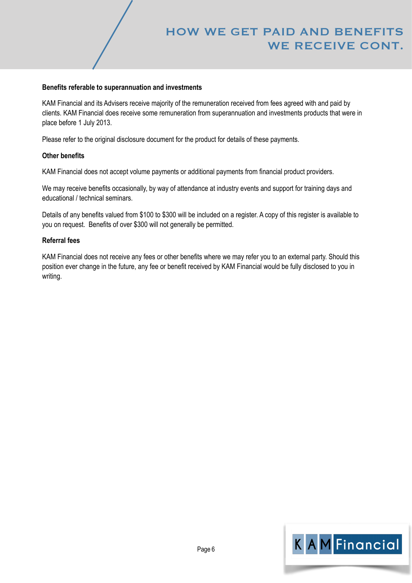# HOW WE GET PAID AND BENEFITS WE RECEIVE CONT.

#### **Benefits referable to superannuation and investments**

KAM Financial and its Advisers receive majority of the remuneration received from fees agreed with and paid by clients. KAM Financial does receive some remuneration from superannuation and investments products that were in place before 1 July 2013.

Please refer to the original disclosure document for the product for details of these payments.

#### **Other benefits**

KAM Financial does not accept volume payments or additional payments from financial product providers.

We may receive benefits occasionally, by way of attendance at industry events and support for training days and educational / technical seminars.

Details of any benefits valued from \$100 to \$300 will be included on a register. A copy of this register is available to you on request. Benefits of over \$300 will not generally be permitted.

#### **Referral fees**

KAM Financial does not receive any fees or other benefits where we may refer you to an external party. Should this position ever change in the future, any fee or benefit received by KAM Financial would be fully disclosed to you in writing.

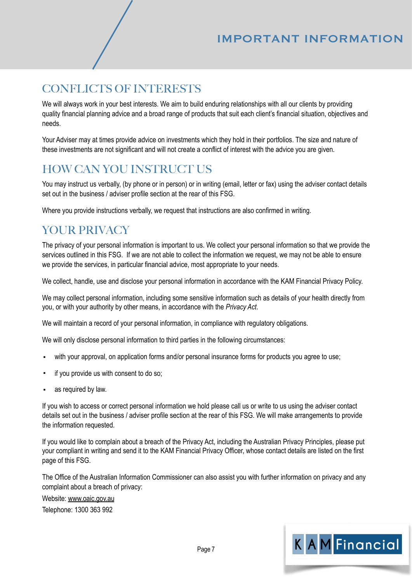# IMPORTANT INFORMATION

# CONFLICTS OF INTERESTS

We will always work in your best interests. We aim to build enduring relationships with all our clients by providing quality financial planning advice and a broad range of products that suit each client's financial situation, objectives and needs.

Your Adviser may at times provide advice on investments which they hold in their portfolios. The size and nature of these investments are not significant and will not create a conflict of interest with the advice you are given.

# HOW CAN YOU INSTRUCT US

You may instruct us verbally, (by phone or in person) or in writing (email, letter or fax) using the adviser contact details set out in the business / adviser profile section at the rear of this FSG.

Where you provide instructions verbally, we request that instructions are also confirmed in writing.

# YOUR PRIVACY

The privacy of your personal information is important to us. We collect your personal information so that we provide the services outlined in this FSG. If we are not able to collect the information we request, we may not be able to ensure we provide the services, in particular financial advice, most appropriate to your needs.

We collect, handle, use and disclose your personal information in accordance with the KAM Financial Privacy Policy.

We may collect personal information, including some sensitive information such as details of your health directly from you, or with your authority by other means, in accordance with the *Privacy Act*.

We will maintain a record of your personal information, in compliance with regulatory obligations.

We will only disclose personal information to third parties in the following circumstances:

- with your approval, on application forms and/or personal insurance forms for products you agree to use;
- if you provide us with consent to do so;
- as required by law.

If you wish to access or correct personal information we hold please call us or write to us using the adviser contact details set out in the business / adviser profile section at the rear of this FSG. We will make arrangements to provide the information requested.

If you would like to complain about a breach of the Privacy Act, including the Australian Privacy Principles, please put your compliant in writing and send it to the KAM Financial Privacy Officer, whose contact details are listed on the first page of this FSG.

The Office of the Australian Information Commissioner can also assist you with further information on privacy and any complaint about a breach of privacy:

Website: [www.oaic.gov.au](http://www.oaic.gov.au) Telephone: 1300 363 992

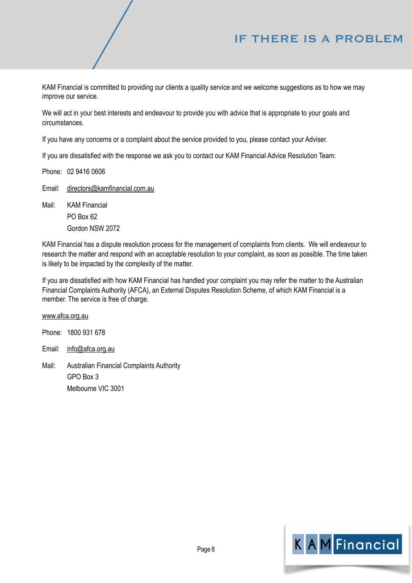# IF THERE IS A PROBLEM

KAM Financial is committed to providing our clients a quality service and we welcome suggestions as to how we may improve our service.

We will act in your best interests and endeavour to provide you with advice that is appropriate to your goals and circumstances.

If you have any concerns or a complaint about the service provided to you, please contact your Adviser.

If you are dissatisfied with the response we ask you to contact our KAM Financial Advice Resolution Team:

Phone: 02 9416 0606

Email: [directors@kamfinancial.com.au](mailto:directors@kamfinancial.com.au)

Mail: KAM Financial PO Box 62 Gordon NSW 2072

KAM Financial has a dispute resolution process for the management of complaints from clients. We will endeavour to research the matter and respond with an acceptable resolution to your complaint, as soon as possible. The time taken is likely to be impacted by the complexity of the matter.

If you are dissatisfied with how KAM Financial has handled your complaint you may refer the matter to the Australian Financial Complaints Authority (AFCA), an External Disputes Resolution Scheme, of which KAM Financial is a member. The service is free of charge.

[www.afca.org.au](http://www.afca.org.au)

Phone: 1800 931 678

Email: [info@afca.org.au](mailto:info@afca.org.au)

Mail: Australian Financial Complaints Authority GPO Box 3 Melbourne VIC 3001

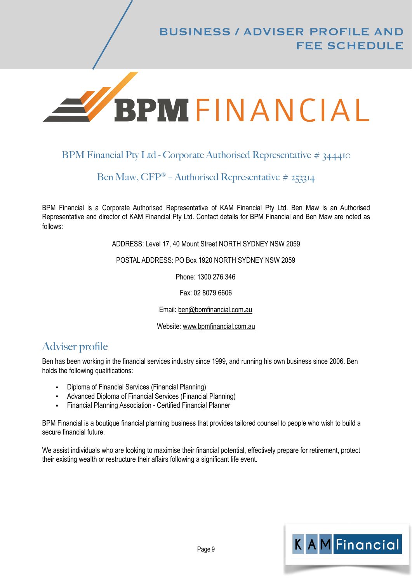

## BPM Financial Pty Ltd - Corporate Authorised Representative # 344410

## Ben Maw, CFP® – Authorised Representative # 253314

BPM Financial is a Corporate Authorised Representative of KAM Financial Pty Ltd. Ben Maw is an Authorised Representative and director of KAM Financial Pty Ltd. Contact details for BPM Financial and Ben Maw are noted as follows:

ADDRESS: Level 17, 40 Mount Street NORTH SYDNEY NSW 2059

POSTAL ADDRESS: PO Box 1920 NORTH SYDNEY NSW 2059

Phone: 1300 276 346

Fax: 02 8079 6606

Email: [ben@bpmfinancial.com.au](mailto:ben@bpmfinancial.com.au)

Website: [www.bpmfinancial.com.au](http://www.bpmfinancial.com.au)

# Adviser profile

Ben has been working in the financial services industry since 1999, and running his own business since 2006. Ben holds the following qualifications:

- Diploma of Financial Services (Financial Planning)
- Advanced Diploma of Financial Services (Financial Planning)
- **Financial Planning Association Certified Financial Planner**

BPM Financial is a boutique financial planning business that provides tailored counsel to people who wish to build a secure financial future.

We assist individuals who are looking to maximise their financial potential, effectively prepare for retirement, protect their existing wealth or restructure their affairs following a significant life event.